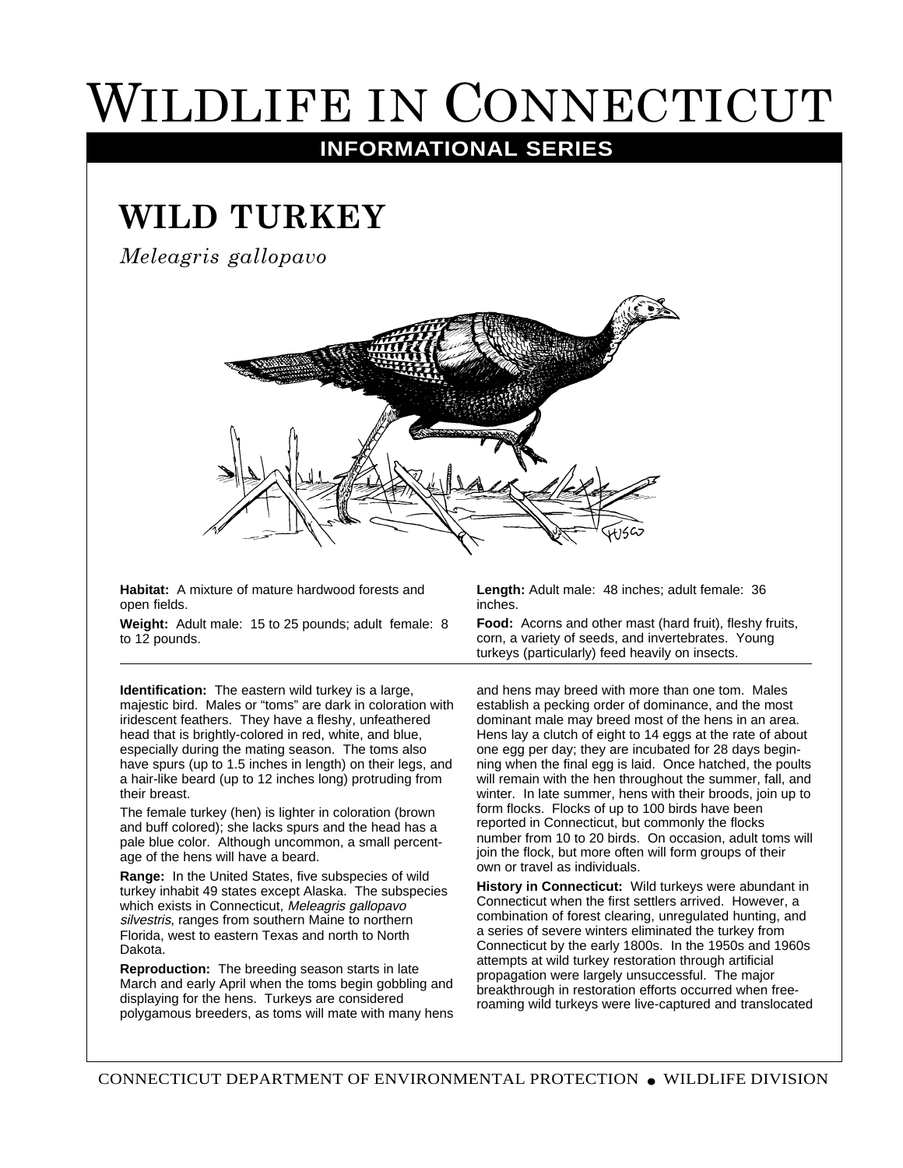## WILDLIFE IN CONNECTICUT

## **INFORMATIONAL SERIES**

## **WILD TURKEY**

*Meleagris gallopavo*



**Habitat:** A mixture of mature hardwood forests and open fields.

**Weight:** Adult male: 15 to 25 pounds; adult female: 8 to 12 pounds.

**Identification:** The eastern wild turkey is a large, majestic bird. Males or "toms" are dark in coloration with iridescent feathers. They have a fleshy, unfeathered head that is brightly-colored in red, white, and blue, especially during the mating season. The toms also have spurs (up to 1.5 inches in length) on their legs, and a hair-like beard (up to 12 inches long) protruding from their breast.

The female turkey (hen) is lighter in coloration (brown and buff colored); she lacks spurs and the head has a pale blue color. Although uncommon, a small percentage of the hens will have a beard.

**Range:** In the United States, five subspecies of wild turkey inhabit 49 states except Alaska. The subspecies which exists in Connecticut, Meleagris gallopavo silvestris, ranges from southern Maine to northern Florida, west to eastern Texas and north to North Dakota.

**Reproduction:** The breeding season starts in late March and early April when the toms begin gobbling and displaying for the hens. Turkeys are considered polygamous breeders, as toms will mate with many hens **Length:** Adult male: 48 inches; adult female: 36 inches.

**Food:** Acorns and other mast (hard fruit), fleshy fruits, corn, a variety of seeds, and invertebrates. Young turkeys (particularly) feed heavily on insects.

and hens may breed with more than one tom. Males establish a pecking order of dominance, and the most dominant male may breed most of the hens in an area. Hens lay a clutch of eight to 14 eggs at the rate of about one egg per day; they are incubated for 28 days beginning when the final egg is laid. Once hatched, the poults will remain with the hen throughout the summer, fall, and winter. In late summer, hens with their broods, join up to form flocks. Flocks of up to 100 birds have been reported in Connecticut, but commonly the flocks number from 10 to 20 birds. On occasion, adult toms will join the flock, but more often will form groups of their own or travel as individuals.

**History in Connecticut:** Wild turkeys were abundant in Connecticut when the first settlers arrived. However, a combination of forest clearing, unregulated hunting, and a series of severe winters eliminated the turkey from Connecticut by the early 1800s. In the 1950s and 1960s attempts at wild turkey restoration through artificial propagation were largely unsuccessful. The major breakthrough in restoration efforts occurred when freeroaming wild turkeys were live-captured and translocated